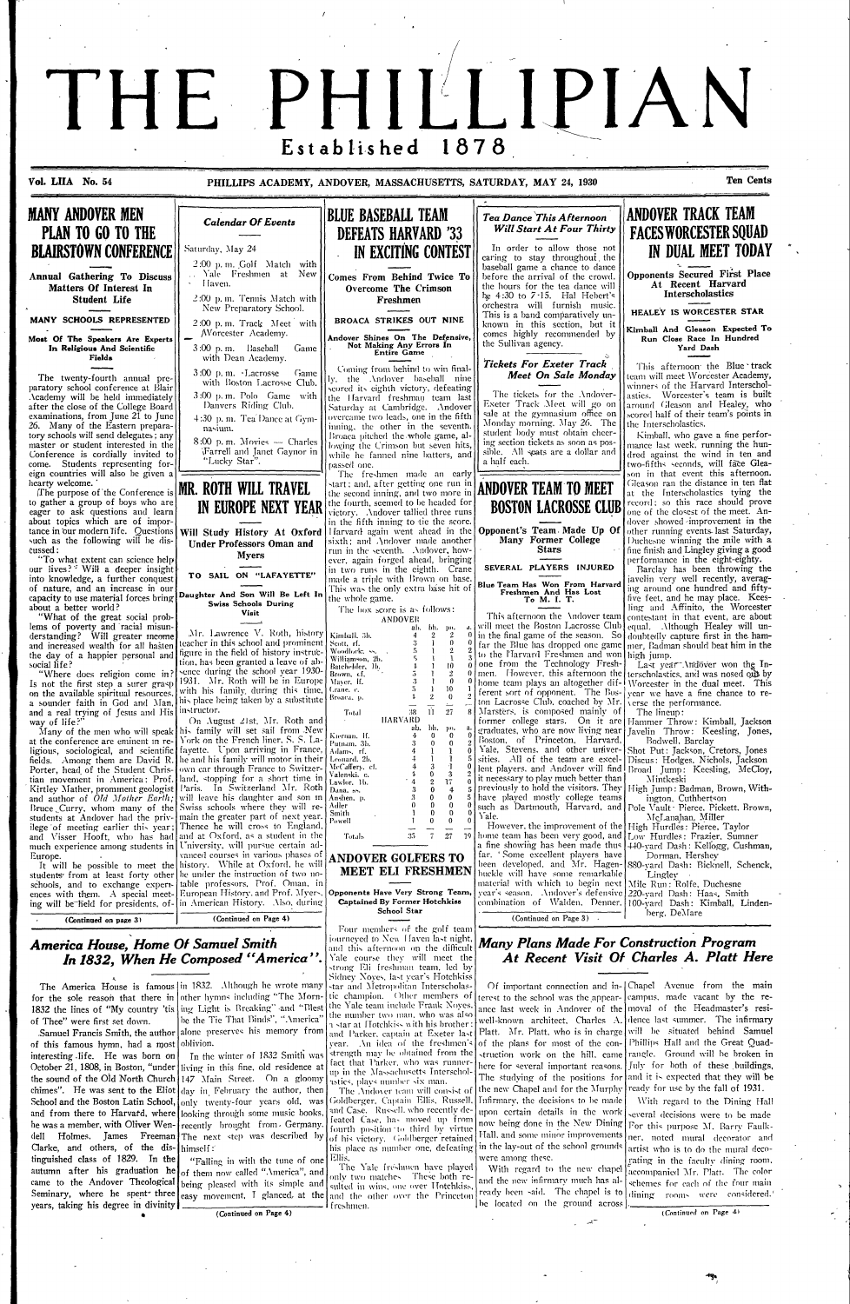# THE PHILLIPIAN 1878 Established

Vol. LIIA No. 54

PHILLIPS ACADEMY, ANDOVER, MASSACHUSETTS, SATURDAY, MAY 24, 1930

Ten Cents



McLanahan, Miller However, the improvement of the High Hurdles: Pierce, Taylor

and Visser Hooft, who has had and at Oxford, as a student in the much experience among students in | University, will pursue certain advanced courses in various phases of Europe

It will be possible to meet the history. While at Oxford, he will students from at least forty other be under the instruction of two notable professors, Prof. Oman, in schools, and to exchange expertences with them. A special meet- [European History and Prof. Myers, ing will be held for presidents, of- in American History. Also, during

(Continued on page 3)

(Continued on Page 4)

#### **America House, Home Of Samuel Smith** In 1832, When He Composed "America"

for the sole reason that there in other hymns including "The Morn-1832 the lines of "My country 'tis | ing Light is Breaking" and "Blest of Thee" were first set down.

Samuel Francis Smith, the author of this famous hymn, had a most interesting life. He was born on October 21, 1808, in Boston, "under the sound of the Old North Church chimes". He was sent to the Eliot  $\frac{1}{\text{day}}$  in February the author, then School and the Boston Latin School, only twenty-four years old. was and from there to Harvard, where looking through some music books. he was a member, with Oliver Wen- recently brought from. Germany. dell Clarke, and others, of the distinguished class of 1829. In the autumn after his graduation he came to the Andover Theological Seminary, where he spent three easy movement. I glanced, at the years, taking his degree in divinity

The America House is famous | in 1832. Although he wrote many be the Tie That Binds", "America' alone preserves his memory from oblivion.

In the winter of 1832 Smith was living in this fine, old residence at 147 Main Street. On a gloomy Holmes. James Freeman The next step was described by  $|{\rm himself}:$ 

> "Falling in with the tune of one of them now called "America", and being pleased with its simple and

Total **ANDOVER GOLFERS TO** MEET ELI FRESHMEN

Opponents Have Very Strong Team **Captained By Former Hotchkiss** School Star

Powell

Four members of the golf team journeved to New Haven last night and this afternoon on the difficult Yale course they will meet the strong Eli freshman <mark>team, le</mark>d by Sidney Noves, last year's Hotchkiss

star and Metropolitan Interscholastic champion. Other members of the Yale team include Frank Noves the number two man, who was also a star at Hotchkiss with his brother and Parker, captain at Exeter last vear. An idea of the freshmen's strength may be obtained from the fact that Parker, who was runner-

up in the Massachusetts Interschol astics, plays number six man. The Andover team will consist of Goldberger, Captain Ellis, Russell, and Case. Russell, who recently defeated Case, has moved up from

fourth position to third by virtue of his victory. Goldberger retained his place as number one, defeating in the lay-out of the school grounds -Ellis.

The Yale freshmen have played only two matches. These both resulted in wins, one over Hotchkiss and the other over the Princeton freshmen.

home team has been very good, and [Low Hurdles: Frazier, Sumner a fine showing has been made thus 440-yard Dash: Kellogg, Cushman, far. 'Some excellent players have Dorman, Hershey 880-vard Dash: Bicknell, Schenck, been developed, and Mr. Hagenbuckle will have some remarkable Lingley Mile Run: Rolfe, Duchesne material with which to begin next vear's season. Andover's defensive 220-vard Dash: Haas, Smith combination of Walden, Denner. 100-vard Dash: Kimball, Lindenberg, DeMare

 $(Continued on Page 3)$ 

#### **Many Plans Made For Construction Program** At Recent Visit Of Charles A. Platt Here

Of important connection and in- | Chapel Avenue from the main erest to the school was the appear- campus, made vacant by the reance last week in Andover of the moval of the Headmaster's resiwell-known architect, Charles A. dence last summer. The infirmary Platt. Mr. Platt, who is in charge. of the plans for most of the construction work on the hill, came here for several important reasons. The studying of the positions for the new Chapel and for the Murphy Infirmary, the decisions to be made upon certain details in the work now being done in the New Dining Hall, and some minor improvements

vere among these.

With regard to the new chapel and the new infirmary much has already been said. The chapel is to] be located on the ground across

will be situated behind Samuel Phillips Hall and the Great Quadrangle. Ground will be broken in July for both of these buildings, and it is expected that they will be ready for use by the fall of 1931.

With regard to the Dining Hall everal decisions were to be made For this purpose M. Barry Faulkner, noted mural decorator and artist who is to do the mural decogating in the faculty dining room. accompanied Mr. Platt. The color schemes for each of the four main dining rooms were considered.'

(Continued on Page 4)

(Continued on Page 4)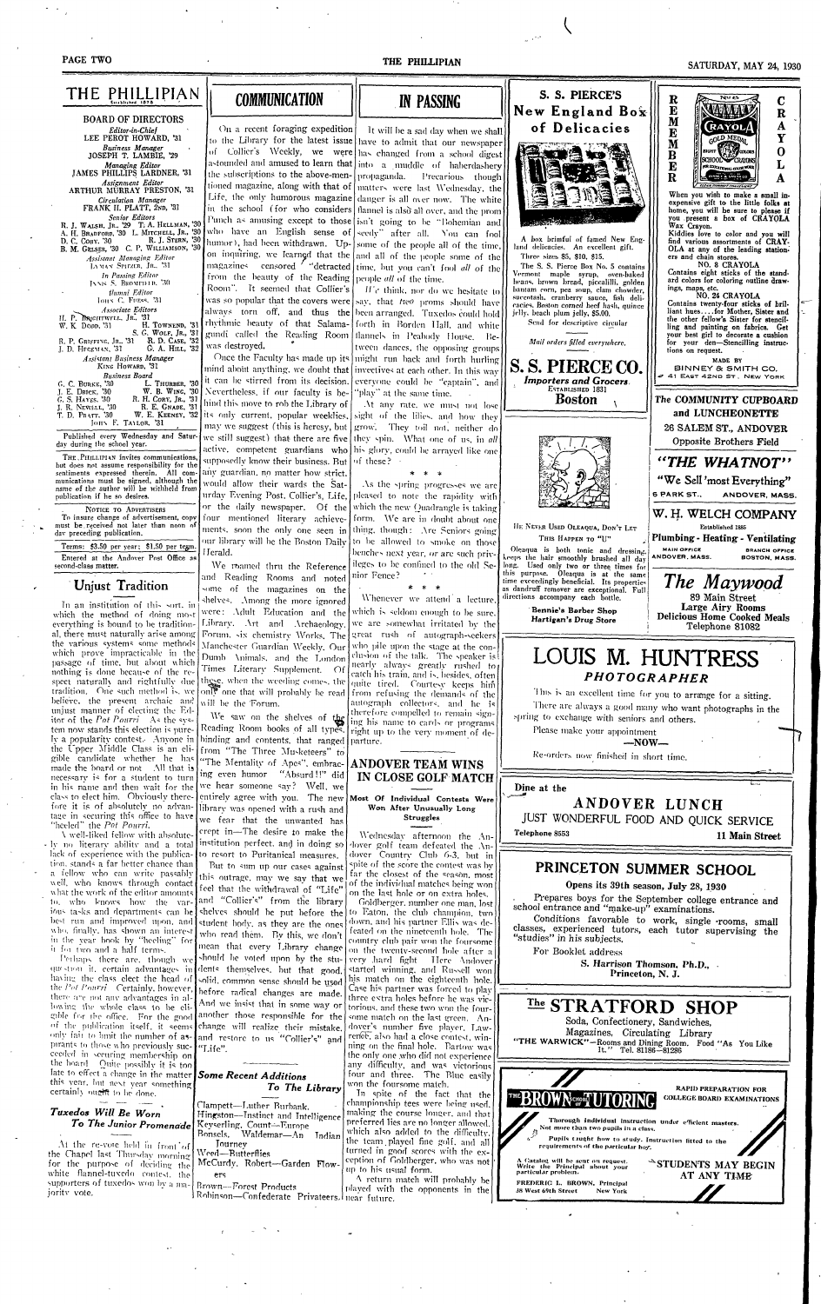#### PAGE TWO

#### SATURDAY MAY 24 1930

|                                                                                                |                                                                                                                             |                                                                                                                                                     |                                                                                                         | ULIULUAI, MAI 44, 1990                                                       |
|------------------------------------------------------------------------------------------------|-----------------------------------------------------------------------------------------------------------------------------|-----------------------------------------------------------------------------------------------------------------------------------------------------|---------------------------------------------------------------------------------------------------------|------------------------------------------------------------------------------|
| THE PHILLIPIAN                                                                                 |                                                                                                                             |                                                                                                                                                     | S. S. PIERCE'S                                                                                          | Nu e.                                                                        |
|                                                                                                | <b>COMMUNICATION</b>                                                                                                        | <b>IN PASSING</b>                                                                                                                                   |                                                                                                         | R<br>$\bf C$<br>E<br><b>AARAMAN</b>                                          |
| <b>BOARD OF DIRECTORS</b>                                                                      |                                                                                                                             |                                                                                                                                                     | New England Box                                                                                         | ${\bf R}$<br>M                                                               |
| Editor-in-Chief                                                                                |                                                                                                                             | On a recent foraging expedition   It will be a sad day when we shall                                                                                | of Delicacies                                                                                           | <b>CRAYOL</b><br>A<br>E                                                      |
| LEE PEROT HOWARD, '31<br><b>Business Manager</b>                                               |                                                                                                                             | to the Library for the latest issue have to admit that our newspaper                                                                                |                                                                                                         | Y<br><b>GOLD MEDAT</b><br>M                                                  |
| JOSEPH T. LAMBIE, '29                                                                          |                                                                                                                             | of Collier's Weekly, we were has changed from a school digest                                                                                       | <b>BAD</b><br><b>ISS 100</b>                                                                            | $\mathbf 0$<br>EIGHT WAS COLORED<br>$\bf{B}$<br>SCHOOL <i>CRAYDNS</i>        |
| Managing Editor<br>JAMES PHILLIPS LARDNER, '31                                                 |                                                                                                                             | astounded and amused to learn that into a muddle of haberdashery<br>the subscriptions to the above-men- propaganda. Precarious though               |                                                                                                         | E<br>L<br>FOR EDUCATIONAL COLOR WORK                                         |
| Assignment Editor                                                                              |                                                                                                                             | tioned magazine, along with that of   matters were last Wednesday, the                                                                              |                                                                                                         | $\overline{\textbf{R}}$<br>A<br><b>CLEAK COMMET COAVENHAT</b>                |
| ARTHUR MÜRRAY PRESTON, '31<br>Circulation Manager                                              |                                                                                                                             | Life, the only humorous magazine danger is all over now. The white                                                                                  |                                                                                                         | When you wish to make a small in-                                            |
| FRANK II. PLATT, 2ND, '31                                                                      |                                                                                                                             | in the school (for who considers   flannel is also all over, and the prom)                                                                          |                                                                                                         | expensive gift to the little folks at<br>home, you will be sure to please if |
| Senior Editors<br>R. J. WALSH, JR., 29 T. A. HELLMAN, '30                                      |                                                                                                                             | Punch as amusing except to those [isn't going to be "Bohemian and]                                                                                  |                                                                                                         | you present a box of CRAYOLA<br>Wax Crayon.                                  |
| R. J. Stern, '30                                                                               |                                                                                                                             | A. H. BRADFORD, 30 L. MITCHELL, JR., 30 who have an English sense of seedy" after all. You can fool                                                 | A box brimful of famed New Eng-                                                                         | Kiddies love to color and you will                                           |
| D. C. CORY. '30<br>B. M. GELSER, '30 C. P. WILLIAMSON, '30                                     |                                                                                                                             | humor), had been withdrawn. Up- some of the people all of the time,                                                                                 | land delicacies. An excellent gift.                                                                     | find various assortments of CRAY-<br>OLA at any of the leading station-      |
| <b>Assistant Managing Editor</b><br>LAMAN SPITZER, JR., '31                                    |                                                                                                                             | on inquiring, we learned that the and all of the people some of the                                                                                 | Three sizes \$5, \$10, \$15.                                                                            | ers and chain stores.<br>NO. 8 CRAYOLA                                       |
| In Passing Editor                                                                              | from the beauty of the Reading people all of the time.                                                                      | magazines censored ' "detracted time, but you can't fool all of the                                                                                 | The S. S. Pierce Box No. 5 contains<br>Vermont maple syrup, oven-baked                                  | Contains eight sticks of the stand-                                          |
| INNIS S. BROMEHLD, '30                                                                         | Room". It seemed that Collier's [                                                                                           | $\mathcal{L}$ $\mathcal{L}$ think, nor do we hesitate to                                                                                            | beans, brown bread, piccalilli, golden<br>bantam corn, pea soup, clam chowder,                          | ard colors for coloring outline draw-<br>ings, maps, etc.                    |
| flumni Editor<br>JOHN C. FUESS, '31                                                            |                                                                                                                             | was so popular that the covers were   sav, that two proms should have                                                                               | succotash, cranberry sauce, fish deli-                                                                  | NO. 24 CRAYOLA<br>Contains twenty-four sticks of bril-                       |
| Associate Editors                                                                              |                                                                                                                             | always torn off, and thus the been arranged. Tuxedos could hold                                                                                     | cacies, Boston corned beef hash, quince<br>jelly, beach plum jelly, \$5.00.                             | liant huesfor Mother, Sister and                                             |
| H. P. BRIGHTWELL, JR., '31<br>H. TOWNEND, '31<br>$W. K$ Dopp, $31$                             |                                                                                                                             | rhythmic beauty of that Salama- forth in Borden Hall, and white                                                                                     | Send for descriptive circular                                                                           | the other fellow's Sister for stencil-<br>ling and painting on fabrics. Get  |
| S. G. WOLF, JR., '31<br>R. P. GRIFFING, JR., '31 R. D. CASE, '32                               |                                                                                                                             | gundi called the Reading Room Hannels in Peabody House. Be-                                                                                         | Mail orders filled everywhere.                                                                          | your best girl to decorate a cushion<br>for your den-Stencilling instruc-    |
| G. A. HILL, '32<br>J. D. HEGEMAN, '31                                                          | was destroyed.                                                                                                              | tween dances, the opposing groups                                                                                                                   |                                                                                                         | tions on request.                                                            |
| Assistant Business Manager<br>KING HOWARD, '31                                                 |                                                                                                                             | Once the Faculty has made up its   might run back and forth hurling  <br>mind about anything, we doubt that   invectives at each other. In this way | S. S. PIERCE CO.                                                                                        | MADE BY<br>BINNEY & SMITH CO.                                                |
| <b>Business Board</b>                                                                          |                                                                                                                             | it can be stirred from its decision. everyone could be "captain", and                                                                               | Importers and Grocers.                                                                                  | # 41 EAST 42ND ST. NEW YORK                                                  |
| L. THURBER, '30<br>G. C. BURKE, '30<br>W. B. WING, '30<br>J. E. DRICK, '30                     | Nevertheless, if our faculty is be- "play" at the same time.                                                                |                                                                                                                                                     | ESTABLISHED 1831                                                                                        |                                                                              |
| G. S. HAYES, '30<br>R. H. CORY, JR.,<br>'31<br>R. E. GNADE, '31<br>J. R. NEWELL, '30           | hind this move to rob the Library of [                                                                                      | At any rate, we must not lose                                                                                                                       | <b>Boston</b>                                                                                           | The COMMUNITY CUPBOARD                                                       |
| T. D. PRATT. '30                                                                               | W. E. KEENEY, '32 its only current, popular weeklies, sight of the lilies, and how they                                     |                                                                                                                                                     |                                                                                                         | and LUNCHEONETTE                                                             |
| JOHN F. TAYLOR. '31                                                                            |                                                                                                                             | may we suggest (this is heresy, but   grow. They toil not, neither do]                                                                              |                                                                                                         | 26 SALEM ST., ANDOVER                                                        |
| day during the school year.                                                                    |                                                                                                                             | Published every Wednesday and Satur- we still suggest) that there are five they spin. What one of us, in all                                        |                                                                                                         | Opposite Brothers Field                                                      |
| THE PHILLIPIAN invites communications,                                                         |                                                                                                                             | active. competent guardians who his glory, could be arrayed like one                                                                                |                                                                                                         |                                                                              |
| but does not assume responsibility for the                                                     | supposedly know their business. But of these?<br>sentiments expressed therein. All com- any guardian, no matter how strict. |                                                                                                                                                     |                                                                                                         | "THE WHATNOT"                                                                |
| munications must be signed, although the                                                       |                                                                                                                             | would allow their wards the Sat- As the spring progresses we are                                                                                    |                                                                                                         | "We Sell 'most Everything"                                                   |
| name of the author will be withheld from<br>publication if he so desires.                      |                                                                                                                             | urday Evening Post. Collier's, Life, pleased to note the rapidity with                                                                              |                                                                                                         | 6 PARK ST.<br>ANDOVER, MASS.                                                 |
| NOTICE TO ADVERTISERS                                                                          |                                                                                                                             | or the daily newspaper. Of the which the new Quadrangle is taking                                                                                   |                                                                                                         |                                                                              |
| To insure change of advertisement, copy<br>must be received not later than noon of             |                                                                                                                             | four mentioned literary achieve- form. We are in doubt about one                                                                                    |                                                                                                         | W. H. WELCH COMPANY                                                          |
| day preceding publication.                                                                     |                                                                                                                             | ments, soon the only one seen in thing, though: Are Seniors going                                                                                   | HE NEVER USED OLEAQUA, DON'T LET<br>THIS HAPPEN TO "U"                                                  | Established 1885<br>Plumbing - Heating - Ventilating                         |
| Terms: \$3.50 per year: \$1.50 per tegm.                                                       |                                                                                                                             | our library will be the Boston Daily to be allowed to smoke on those                                                                                | Oleaqua is both tonic and dressing.                                                                     | <b>MAIN OFFICE</b><br><b>BRANCH OFFICE</b>                                   |
| Entered at the Andover Post Office as                                                          | Herald.                                                                                                                     | benches next year, or are such priv-<br>ileges to be confined to the old Se-                                                                        | keeps the hair smoothly brushed all day                                                                 | ANDOVER, MASS.<br>BOSTON, MASS.                                              |
| second-class matter.                                                                           | We roamed thru the Reference<br>and Reading Rooms and noted                                                                 | nior Fence?                                                                                                                                         | long. Used only two or three times for<br>this purpose. Oleaqua is at the same                          |                                                                              |
| Unjust Tradition                                                                               | some of the magazines on the                                                                                                |                                                                                                                                                     | time exceedingly beneficial. Its properties<br>as dandruff remover are exceptional. Full                | The Maywood                                                                  |
|                                                                                                | shelves. Among the more ignored                                                                                             | Whenever we attend a lecture,                                                                                                                       | directions accompany each bottle.                                                                       | 89 Main Street                                                               |
| In an institution of this sort, in<br>which the method of doing most                           | were: Adult Education and the                                                                                               | which is seldom enough to be sure.                                                                                                                  | Bennie's Barber Shop                                                                                    | <b>Large Airy Rooms</b><br><b>Delicious Home Cooked Meals</b>                |
| everything is bound to be tradition-                                                           | Library. Art and Archaeology,                                                                                               | we are somewhat irritated by the                                                                                                                    | Hartigan's Drug Store                                                                                   | Telephone 81082                                                              |
| al, there must naturally arise among<br>the various systems some methods                       | Forum, six chemistry Works, The great rush of autograph-seekers                                                             |                                                                                                                                                     |                                                                                                         |                                                                              |
| which prove impracticable in the                                                               | Manchester Guardian Weekly, Our                                                                                             | who pile upon the stage at the con-<br>clusion of the talk. The speaker is!                                                                         |                                                                                                         |                                                                              |
| passage of time, but about which                                                               | Dumb Animals, and the London                                                                                                | nearly always greatly rushed to                                                                                                                     | LOUIS M. HUNTRESS                                                                                       |                                                                              |
| nothing is done because of the re-                                                             | Times Literary Supplement. Of<br>spect naturally and rightfully due these, when the weeding comes, the                      | catch his train, and is, besides, often                                                                                                             | <b>PHOTOGRAPHER</b>                                                                                     |                                                                              |
|                                                                                                | tradition. One such method is, we only one that will probably be read from refusing the demands of the                      | quite tired. Courtesy keeps him                                                                                                                     | This is an excellent time for you to arrange for a sitting.                                             |                                                                              |
| believe, the present archaic and                                                               | will be the 'Forum.                                                                                                         | autograph collectors, and he is                                                                                                                     |                                                                                                         |                                                                              |
| unjust manner of electing the Ed-<br>itor of the Pat Pourri As the sys-                        | We saw on the shelves of the                                                                                                | therefore compelled to remain sign-                                                                                                                 | There are always a good many who want photographs in the<br>spring to exchange with seniors and others. |                                                                              |
| tem now stands this election is pure-                                                          | Reading Room books of all types. right up to the very moment of de-                                                         | ing his name to cards or programs                                                                                                                   | Please make your appointment                                                                            |                                                                              |
| ly a popularity contest. Anyone in                                                             | binding and contents, that ranged parture.                                                                                  |                                                                                                                                                     | $-$ NOW $-$                                                                                             |                                                                              |
| the Upper Middle Class is an eli-<br>gible candidate whether he has                            | from "The Three Musketeers" to                                                                                              |                                                                                                                                                     | Re-orders now finished in short time.                                                                   |                                                                              |
| made the board or not. All that is                                                             | "The Mentality of Apes", embrac- ANDOVER TEAM WINS                                                                          |                                                                                                                                                     |                                                                                                         |                                                                              |
| necessary is for a student to turn                                                             | ing even humor "Absurd!!" did                                                                                               | IN CLOSE GOLF MATCH                                                                                                                                 |                                                                                                         |                                                                              |
| in his name and then wait for the<br>class to elect him. Obviously there-                      | we hear someone say? Well, we<br>entirely agree with you. The new Most Of Individual Contests Were                          |                                                                                                                                                     | Dine at the                                                                                             |                                                                              |
| fore it is of absolutely no advan-                                                             | library was opened with a rush and                                                                                          | Won After Unusually Long                                                                                                                            | ANDOVER LUNCH                                                                                           |                                                                              |
| tage in securing this office to have<br>$H_{\text{bol}} = 1$ <sup>n</sup> the $D_{\text{bol}}$ | we fear that the unwanted has                                                                                               | <b>Struggles</b>                                                                                                                                    | JUST WONDERFUL FOOD AND OUICK SERVICE                                                                   |                                                                              |

"heeled" the *Pot Pourri*.<br>  $\sqrt{\text{well-likelihood}}$  fellow with absolute- $\mathbf{H}$ rept in-The desire to make the Wednesday afternoon the An-Telephone 8553 11 Main Street institution perfect, and in doing so - ly no literary ability and a total dover golf team defeated the Andover Country Club 6-3, but in lack of experience with the publica- to resort to Puritanical measures. tion, stands a far better chance than But to sum up our cases against PRINCETON SUMMER SCHOOL spite of the score the contest was by a fellow who can write passably far the closest of the season, most this outrage, may we say that we well, who knows through contact of the individual matches being won Opens its 39th season, July 28, 1930 feel that the withdrawal of "Life" what the work of the editor amounts on the last hole or on extra holes. Prepares boys for the September college entrance and and "Collier's" from the library to, who knows how the var-Goldberger, number one man, lost school entrance and "make-up" examinations. ious tasks and departments can be shelves should be put before the to Eaton, the club champion, two Conditions favorable to work, single rooms, small best run and improved upon, and student body, as they are the ones down, and his partner Ellis was declasses, experienced tutors, each tutor supervising the feated on the nineteenth hole. The who, finally, has shown an interest who read them. By this, we don't "studies" in his subjects. in the year book by "heeling" for country club pair won the foursome mean that every Library change it for two and a half terms. on the twenty-second hole after a For Booklet address should be voted upon by the stu-Perhaps there are, though we very hard fight Here Andover S. Harrison Thomson, Ph.D... dents themselves, but that good question it, certain advantages in started winning, and Russell won Princeton, N. J. his match on the eighteenth hole. having the class elect the head of solid, common sense should be used the Pot Pourri Certainly, however, Case his partner was forced to play before radical changes are made. there are not any advantages in althree extra holes before he was vic-The STRATFORD SHOP And we insist that in some way or lowing the whole class to be elitorious, and these two won the fouranother those responsible for the gible for the office. For the good some match on the last green. An-Soda, Confectionery, Sandwiches, change will realize their mistake. of the publication itself, it seems dover's number five player. Law-Magazines, Circulating Library only fair to limit the number of asrenee, also had a close contest, winand restore to us "Collier's" and "THE WARWICK"-Rooms and Dining Room. Food "As You Like<br>It." Tel. 81186-81286 pirants to those who previously sucning on the final hole. Bartow was "Life". ceeded in securing membership on the only one who did not experience the board Quite possibly it is too any difficulty, and was victorious late to effect a change in the matter **Some Recent Additions** four and three. The Blue easily this year, but next year something won the foursome match. To The Library **RAPID PREPARATION FOR** certainly ought to be done. In spite of the fact that the **COLLEGE BOARD EXAMINATIONS** championship tees were being used. Clampett-Luther Burbank. Tuxedos Will Be Worn making the course longer, and that Hingston-Instinct and Intelligence Thorough individual instruction under efficient masters. To The Junior Promenade Keyserling. Count-Europe<br>Bonsels, Waldemar-An Indian preferred lies are no longer allowed. which also added to the difficulty. Not more than two pupils in a class.  $\tilde{f}^{\dagger}$ Pupils taught how to study. Instruction fitted to the the team played fine golf, and all At the re-vote held in front of Tourney requirements of the particular boy, turned in good scores with the ex-Weed-Butterflies ception of Goldberger, who was not A Catalog will be sent on request.<br>Write the Principal about your<br>particular problem. McCurdy, Robert-Garden Flow-STUDENTS MAY BEGIN up to his usual form. AT ANY TIME ers A return match will probably be FREDERIC L. BROWN, Principal Brown---Forest Products played with the opponents in the 38 West 69th Street New York Robinson-Confederate Privateers. Inear future.

the Chapel last Thursday morning for the purpose of deciding the white flannel-tuxedo contest, the supporters of tuxedos won by a majority vote.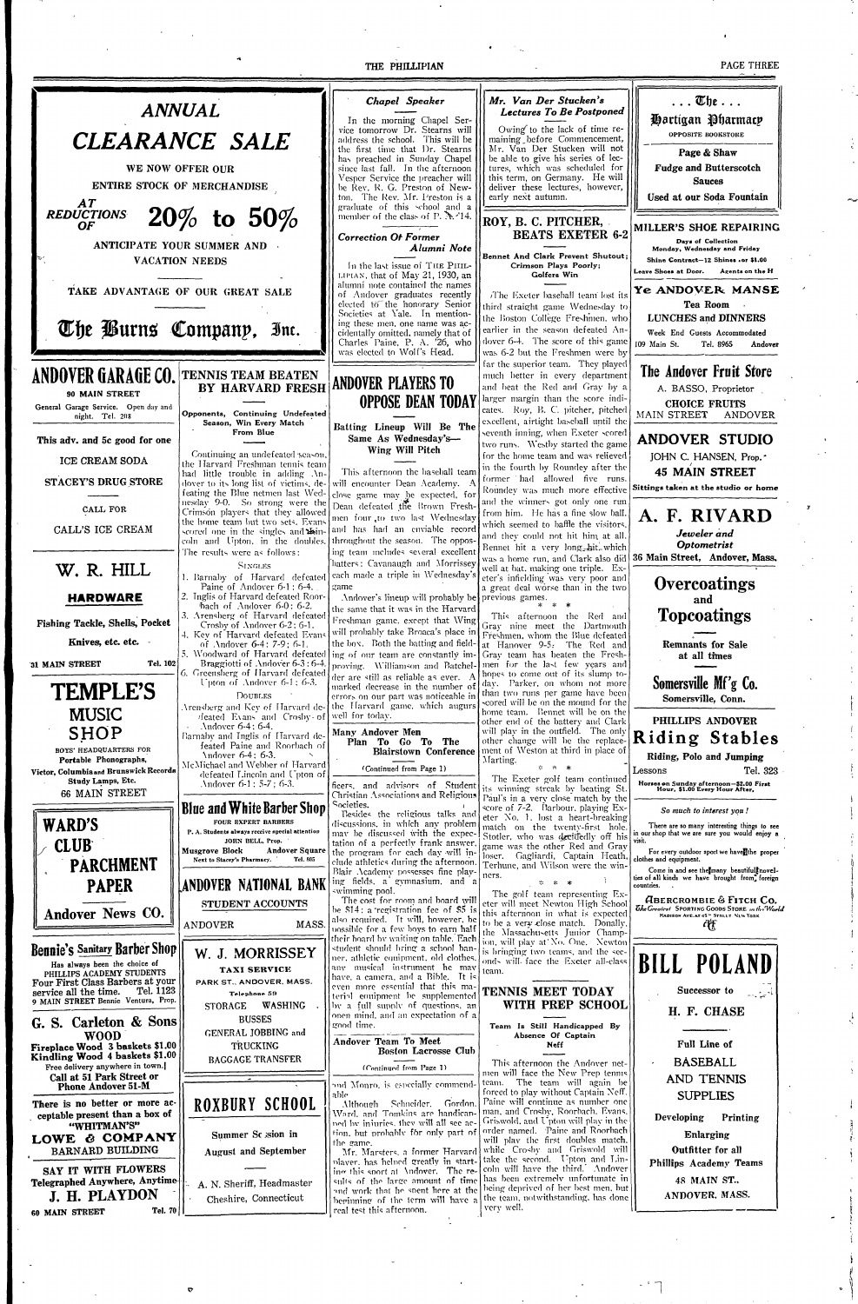THE PHILLIPIAN

PAGE THREE



O